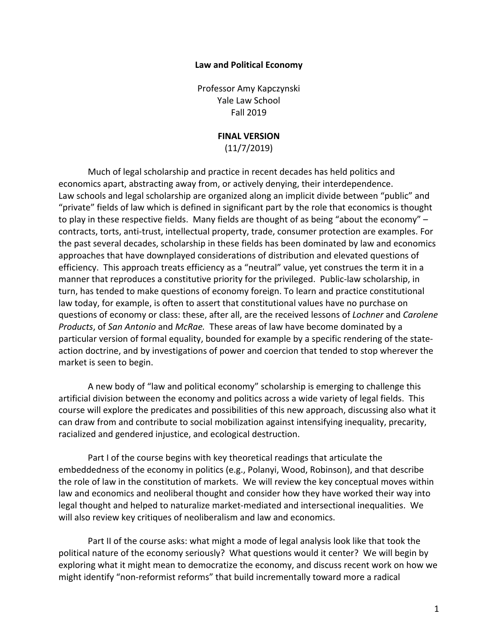#### **Law and Political Economy**

Professor Amy Kapczynski Yale Law School Fall 2019

#### **FINAL VERSION**

(11/7/2019)

Much of legal scholarship and practice in recent decades has held politics and economics apart, abstracting away from, or actively denying, their interdependence. Law schools and legal scholarship are organized along an implicit divide between "public" and "private" fields of law which is defined in significant part by the role that economics is thought to play in these respective fields. Many fields are thought of as being "about the economy" – contracts, torts, anti-trust, intellectual property, trade, consumer protection are examples. For the past several decades, scholarship in these fields has been dominated by law and economics approaches that have downplayed considerations of distribution and elevated questions of efficiency. This approach treats efficiency as a "neutral" value, yet construes the term it in a manner that reproduces a constitutive priority for the privileged. Public-law scholarship, in turn, has tended to make questions of economy foreign. To learn and practice constitutional law today, for example, is often to assert that constitutional values have no purchase on questions of economy or class: these, after all, are the received lessons of *Lochner* and *Carolene Products*, of *San Antonio* and *McRae.* These areas of law have become dominated by a particular version of formal equality, bounded for example by a specific rendering of the stateaction doctrine, and by investigations of power and coercion that tended to stop wherever the market is seen to begin.

A new body of "law and political economy" scholarship is emerging to challenge this artificial division between the economy and politics across a wide variety of legal fields. This course will explore the predicates and possibilities of this new approach, discussing also what it can draw from and contribute to social mobilization against intensifying inequality, precarity, racialized and gendered injustice, and ecological destruction.

Part I of the course begins with key theoretical readings that articulate the embeddedness of the economy in politics (e.g., Polanyi, Wood, Robinson), and that describe the role of law in the constitution of markets. We will review the key conceptual moves within law and economics and neoliberal thought and consider how they have worked their way into legal thought and helped to naturalize market-mediated and intersectional inequalities. We will also review key critiques of neoliberalism and law and economics.

Part II of the course asks: what might a mode of legal analysis look like that took the political nature of the economy seriously? What questions would it center? We will begin by exploring what it might mean to democratize the economy, and discuss recent work on how we might identify "non-reformist reforms" that build incrementally toward more a radical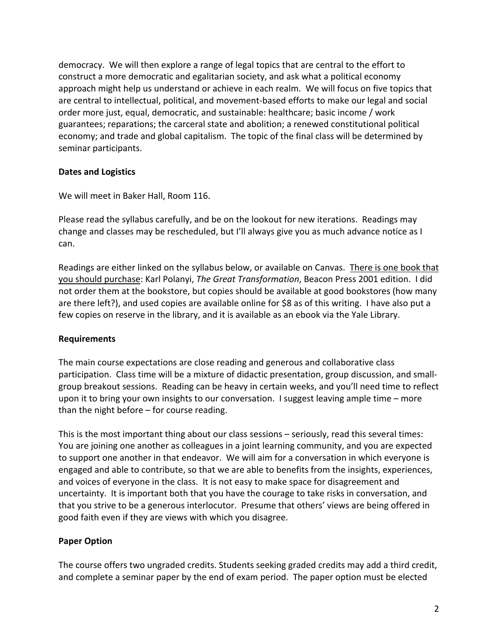democracy. We will then explore a range of legal topics that are central to the effort to construct a more democratic and egalitarian society, and ask what a political economy approach might help us understand or achieve in each realm. We will focus on five topics that are central to intellectual, political, and movement-based efforts to make our legal and social order more just, equal, democratic, and sustainable: healthcare; basic income / work guarantees; reparations; the carceral state and abolition; a renewed constitutional political economy; and trade and global capitalism. The topic of the final class will be determined by seminar participants.

## **Dates and Logistics**

We will meet in Baker Hall, Room 116.

Please read the syllabus carefully, and be on the lookout for new iterations. Readings may change and classes may be rescheduled, but I'll always give you as much advance notice as I can.

Readings are either linked on the syllabus below, or available on Canvas. There is one book that you should purchase: Karl Polanyi, *The Great Transformation*, Beacon Press 2001 edition. I did not order them at the bookstore, but copies should be available at good bookstores (how many are there left?), and used copies are available online for \$8 as of this writing. I have also put a few copies on reserve in the library, and it is available as an ebook via the Yale Library.

#### **Requirements**

The main course expectations are close reading and generous and collaborative class participation. Class time will be a mixture of didactic presentation, group discussion, and smallgroup breakout sessions. Reading can be heavy in certain weeks, and you'll need time to reflect upon it to bring your own insights to our conversation. I suggest leaving ample time – more than the night before – for course reading.

This is the most important thing about our class sessions – seriously, read this several times: You are joining one another as colleagues in a joint learning community, and you are expected to support one another in that endeavor. We will aim for a conversation in which everyone is engaged and able to contribute, so that we are able to benefits from the insights, experiences, and voices of everyone in the class. It is not easy to make space for disagreement and uncertainty. It is important both that you have the courage to take risks in conversation, and that you strive to be a generous interlocutor. Presume that others' views are being offered in good faith even if they are views with which you disagree.

## **Paper Option**

The course offers two ungraded credits. Students seeking graded credits may add a third credit, and complete a seminar paper by the end of exam period. The paper option must be elected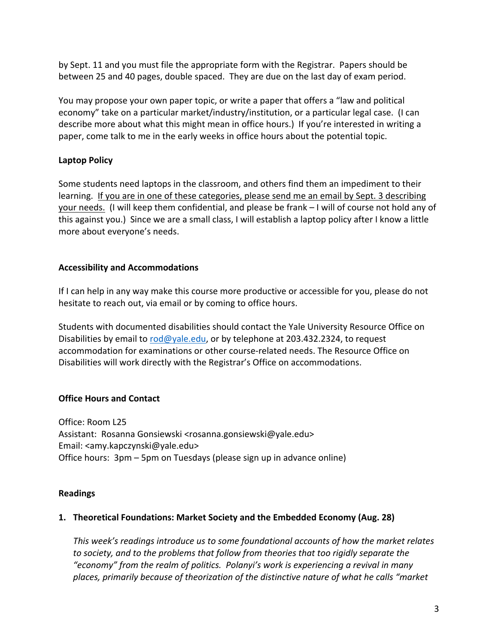by Sept. 11 and you must file the appropriate form with the Registrar. Papers should be between 25 and 40 pages, double spaced. They are due on the last day of exam period.

You may propose your own paper topic, or write a paper that offers a "law and political economy" take on a particular market/industry/institution, or a particular legal case. (I can describe more about what this might mean in office hours.) If you're interested in writing a paper, come talk to me in the early weeks in office hours about the potential topic.

# **Laptop Policy**

Some students need laptops in the classroom, and others find them an impediment to their learning. If you are in one of these categories, please send me an email by Sept. 3 describing your needs. (I will keep them confidential, and please be frank – I will of course not hold any of this against you.) Since we are a small class, I will establish a laptop policy after I know a little more about everyone's needs.

# **Accessibility and Accommodations**

If I can help in any way make this course more productive or accessible for you, please do not hesitate to reach out, via email or by coming to office hours.

Students with documented disabilities should contact the Yale University Resource Office on Disabilities by email to rod@yale.edu, or by telephone at 203.432.2324, to request accommodation for examinations or other course-related needs. The Resource Office on Disabilities will work directly with the Registrar's Office on accommodations.

# **Office Hours and Contact**

Office: Room L25 Assistant: Rosanna Gonsiewski <rosanna.gonsiewski@yale.edu> Email: <amy.kapczynski@yale.edu> Office hours: 3pm – 5pm on Tuesdays (please sign up in advance online)

## **Readings**

## **1. Theoretical Foundations: Market Society and the Embedded Economy (Aug. 28)**

*This week's readings introduce us to some foundational accounts of how the market relates to society, and to the problems that follow from theories that too rigidly separate the "economy" from the realm of politics. Polanyi's work is experiencing a revival in many places, primarily because of theorization of the distinctive nature of what he calls "market*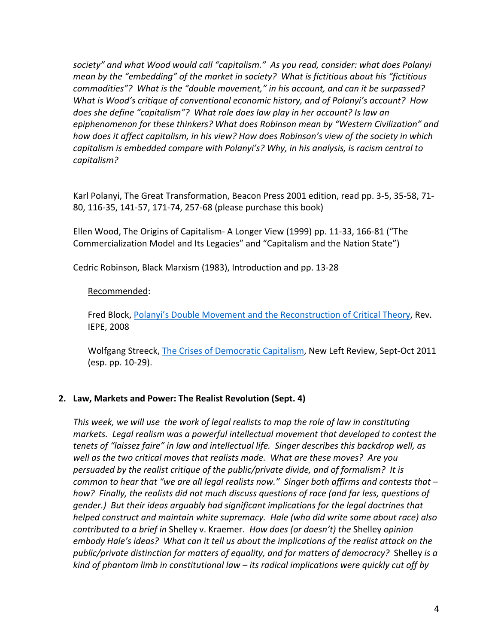*society" and what Wood would call "capitalism." As you read, consider: what does Polanyi mean by the "embedding" of the market in society? What is fictitious about his "fictitious commodities"? What is the "double movement," in his account, and can it be surpassed? What is Wood's critique of conventional economic history, and of Polanyi's account? How does she define "capitalism"? What role does law play in her account? Is law an epiphenomenon for these thinkers? What does Robinson mean by "Western Civilization" and how does it affect capitalism, in his view? How does Robinson's view of the society in which capitalism is embedded compare with Polanyi's? Why, in his analysis, is racism central to capitalism?* 

Karl Polanyi, The Great Transformation, Beacon Press 2001 edition, read pp. 3-5, 35-58, 71- 80, 116-35, 141-57, 171-74, 257-68 (please purchase this book)

Ellen Wood, The Origins of Capitalism- A Longer View (1999) pp. 11-33, 166-81 ("The Commercialization Model and Its Legacies" and "Capitalism and the Nation State")

Cedric Robinson, Black Marxism (1983), Introduction and pp. 13-28

#### Recommended:

Fred Block, Polanyi's Double Movement and the Reconstruction of Critical Theory, Rev. IEPE, 2008

Wolfgang Streeck, The Crises of Democratic Capitalism, New Left Review, Sept-Oct 2011 (esp. pp. 10-29).

## **2. Law, Markets and Power: The Realist Revolution (Sept. 4)**

*This week, we will use the work of legal realists to map the role of law in constituting markets. Legal realism was a powerful intellectual movement that developed to contest the tenets of "laissez faire" in law and intellectual life. Singer describes this backdrop well, as well as the two critical moves that realists made. What are these moves? Are you persuaded by the realist critique of the public/private divide, and of formalism? It is common to hear that "we are all legal realists now." Singer both affirms and contests that – how? Finally, the realists did not much discuss questions of race (and far less, questions of gender.) But their ideas arguably had significant implications for the legal doctrines that helped construct and maintain white supremacy. Hale (who did write some about race) also contributed to a brief in* Shelley v. Kraemer. *How does (or doesn't) the* Shelley *opinion embody Hale's ideas? What can it tell us about the implications of the realist attack on the public/private distinction for matters of equality, and for matters of democracy?* Shelley *is a kind of phantom limb in constitutional law – its radical implications were quickly cut off by*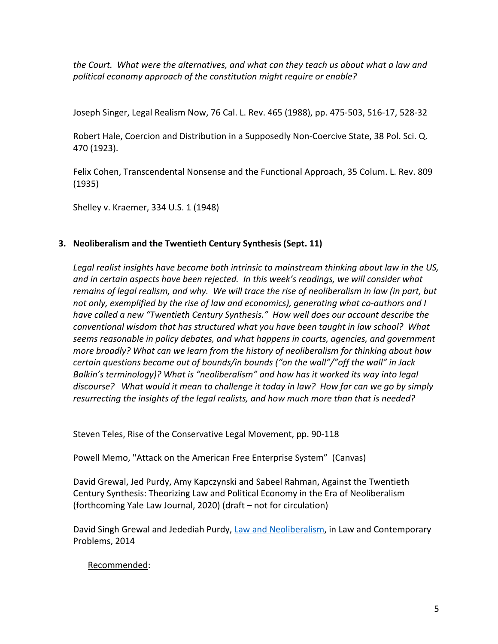*the Court. What were the alternatives, and what can they teach us about what a law and political economy approach of the constitution might require or enable?*

Joseph Singer, Legal Realism Now, 76 Cal. L. Rev. 465 (1988), pp. 475-503, 516-17, 528-32

Robert Hale, Coercion and Distribution in a Supposedly Non-Coercive State, 38 Pol. Sci. Q. 470 (1923).

Felix Cohen, Transcendental Nonsense and the Functional Approach, 35 Colum. L. Rev. 809 (1935)

Shelley v. Kraemer, 334 U.S. 1 (1948)

# **3. Neoliberalism and the Twentieth Century Synthesis (Sept. 11)**

*Legal realist insights have become both intrinsic to mainstream thinking about law in the US, and in certain aspects have been rejected. In this week's readings, we will consider what remains of legal realism, and why. We will trace the rise of neoliberalism in law (in part, but not only, exemplified by the rise of law and economics), generating what co-authors and I have called a new "Twentieth Century Synthesis." How well does our account describe the conventional wisdom that has structured what you have been taught in law school? What seems reasonable in policy debates, and what happens in courts, agencies, and government more broadly? What can we learn from the history of neoliberalism for thinking about how certain questions become out of bounds/in bounds ("on the wall"/"off the wall" in Jack Balkin's terminology)? What is "neoliberalism" and how has it worked its way into legal discourse? What would it mean to challenge it today in law? How far can we go by simply resurrecting the insights of the legal realists, and how much more than that is needed?*

Steven Teles, Rise of the Conservative Legal Movement, pp. 90-118

Powell Memo, "Attack on the American Free Enterprise System" (Canvas)

David Grewal, Jed Purdy, Amy Kapczynski and Sabeel Rahman, Against the Twentieth Century Synthesis: Theorizing Law and Political Economy in the Era of Neoliberalism (forthcoming Yale Law Journal, 2020) (draft – not for circulation)

David Singh Grewal and Jedediah Purdy, Law and Neoliberalism, in Law and Contemporary Problems, 2014

Recommended: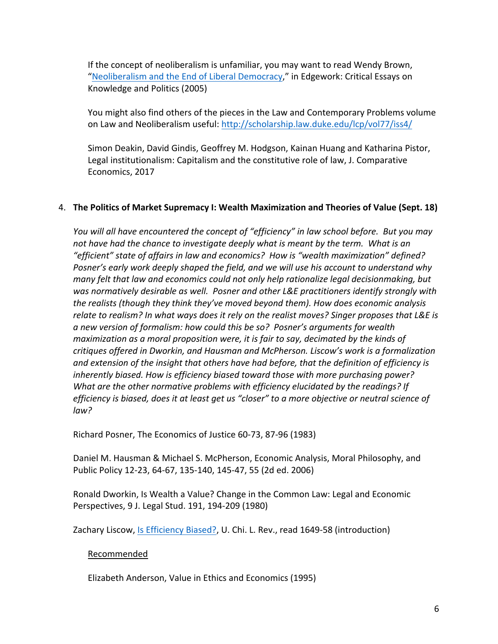If the concept of neoliberalism is unfamiliar, you may want to read Wendy Brown, "Neoliberalism and the End of Liberal Democracy," in Edgework: Critical Essays on Knowledge and Politics (2005)

You might also find others of the pieces in the Law and Contemporary Problems volume on Law and Neoliberalism useful: http://scholarship.law.duke.edu/lcp/vol77/iss4/

Simon Deakin, David Gindis, Geoffrey M. Hodgson, Kainan Huang and Katharina Pistor, Legal institutionalism: Capitalism and the constitutive role of law, J. Comparative Economics, 2017

#### 4. **The Politics of Market Supremacy I: Wealth Maximization and Theories of Value (Sept. 18)**

*You will all have encountered the concept of "efficiency" in law school before. But you may not have had the chance to investigate deeply what is meant by the term. What is an "efficient" state of affairs in law and economics? How is "wealth maximization" defined? Posner's early work deeply shaped the field, and we will use his account to understand why many felt that law and economics could not only help rationalize legal decisionmaking, but was normatively desirable as well. Posner and other L&E practitioners identify strongly with the realists (though they think they've moved beyond them). How does economic analysis relate to realism? In what ways does it rely on the realist moves? Singer proposes that L&E is a new version of formalism: how could this be so? Posner's arguments for wealth maximization as a moral proposition were, it is fair to say, decimated by the kinds of critiques offered in Dworkin, and Hausman and McPherson. Liscow's work is a formalization and extension of the insight that others have had before, that the definition of efficiency is inherently biased. How is efficiency biased toward those with more purchasing power? What are the other normative problems with efficiency elucidated by the readings? If efficiency is biased, does it at least get us "closer" to a more objective or neutral science of law?* 

Richard Posner, The Economics of Justice 60-73, 87-96 (1983)

Daniel M. Hausman & Michael S. McPherson, Economic Analysis, Moral Philosophy, and Public Policy 12-23, 64-67, 135-140, 145-47, 55 (2d ed. 2006)

Ronald Dworkin, Is Wealth a Value? Change in the Common Law: Legal and Economic Perspectives, 9 J. Legal Stud. 191, 194-209 (1980)

Zachary Liscow, Is Efficiency Biased?, U. Chi. L. Rev., read 1649-58 (introduction)

## Recommended

Elizabeth Anderson, Value in Ethics and Economics (1995)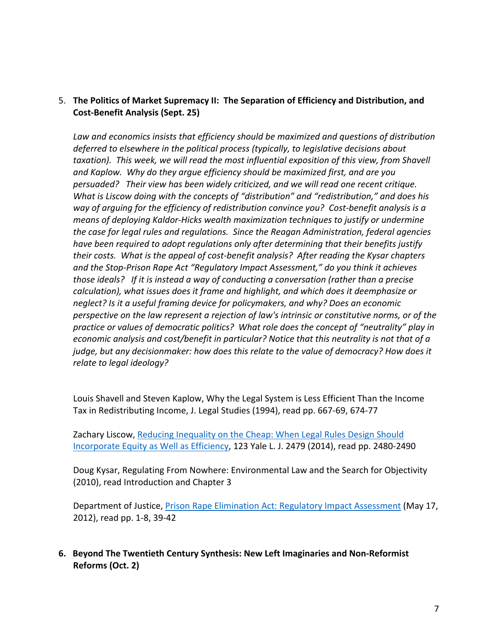# 5. **The Politics of Market Supremacy II: The Separation of Efficiency and Distribution, and Cost-Benefit Analysis (Sept. 25)**

*Law and economics insists that efficiency should be maximized and questions of distribution deferred to elsewhere in the political process (typically, to legislative decisions about taxation). This week, we will read the most influential exposition of this view, from Shavell and Kaplow. Why do they argue efficiency should be maximized first, and are you persuaded? Their view has been widely criticized, and we will read one recent critique. What is Liscow doing with the concepts of "distribution" and "redistribution," and does his way of arguing for the efficiency of redistribution convince you? Cost-benefit analysis is a means of deploying Kaldor-Hicks wealth maximization techniques to justify or undermine the case for legal rules and regulations. Since the Reagan Administration, federal agencies have been required to adopt regulations only after determining that their benefits justify their costs. What is the appeal of cost-benefit analysis? After reading the Kysar chapters and the Stop-Prison Rape Act "Regulatory Impact Assessment," do you think it achieves those ideals? If it is instead a way of conducting a conversation (rather than a precise calculation), what issues does it frame and highlight, and which does it deemphasize or neglect? Is it a useful framing device for policymakers, and why? Does an economic perspective on the law represent a rejection of law's intrinsic or constitutive norms, or of the practice or values of democratic politics? What role does the concept of "neutrality" play in economic analysis and cost/benefit in particular? Notice that this neutrality is not that of a judge, but any decisionmaker: how does this relate to the value of democracy? How does it relate to legal ideology?*

Louis Shavell and Steven Kaplow, Why the Legal System is Less Efficient Than the Income Tax in Redistributing Income, J. Legal Studies (1994), read pp. 667-69, 674-77

Zachary Liscow, Reducing Inequality on the Cheap: When Legal Rules Design Should Incorporate Equity as Well as Efficiency, 123 Yale L. J. 2479 (2014), read pp. 2480-2490

Doug Kysar, Regulating From Nowhere: Environmental Law and the Search for Objectivity (2010), read Introduction and Chapter 3

Department of Justice, Prison Rape Elimination Act: Regulatory Impact Assessment (May 17, 2012), read pp. 1-8, 39-42

## **6. Beyond The Twentieth Century Synthesis: New Left Imaginaries and Non-Reformist Reforms (Oct. 2)**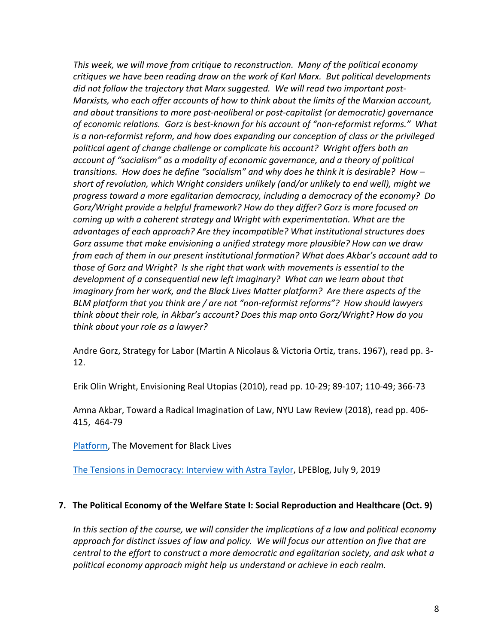*This week, we will move from critique to reconstruction. Many of the political economy critiques we have been reading draw on the work of Karl Marx. But political developments did not follow the trajectory that Marx suggested. We will read two important post-Marxists, who each offer accounts of how to think about the limits of the Marxian account, and about transitions to more post-neoliberal or post-capitalist (or democratic) governance of economic relations. Gorz is best-known for his account of "non-reformist reforms." What is a non-reformist reform, and how does expanding our conception of class or the privileged political agent of change challenge or complicate his account? Wright offers both an account of "socialism" as a modality of economic governance, and a theory of political transitions. How does he define "socialism" and why does he think it is desirable? How – short of revolution, which Wright considers unlikely (and/or unlikely to end well), might we progress toward a more egalitarian democracy, including a democracy of the economy? Do Gorz/Wright provide a helpful framework? How do they differ? Gorz is more focused on coming up with a coherent strategy and Wright with experimentation. What are the advantages of each approach? Are they incompatible? What institutional structures does Gorz assume that make envisioning a unified strategy more plausible? How can we draw from each of them in our present institutional formation? What does Akbar's account add to those of Gorz and Wright? Is she right that work with movements is essential to the development of a consequential new left imaginary? What can we learn about that imaginary from her work, and the Black Lives Matter platform? Are there aspects of the BLM platform that you think are / are not "non-reformist reforms"? How should lawyers think about their role, in Akbar's account? Does this map onto Gorz/Wright? How do you think about your role as a lawyer?*

Andre Gorz, Strategy for Labor (Martin A Nicolaus & Victoria Ortiz, trans. 1967), read pp. 3- 12.

Erik Olin Wright, Envisioning Real Utopias (2010), read pp. 10-29; 89-107; 110-49; 366-73

Amna Akbar, Toward a Radical Imagination of Law, NYU Law Review (2018), read pp. 406- 415, 464-79

Platform, The Movement for Black Lives

The Tensions in Democracy: Interview with Astra Taylor, LPEBlog, July 9, 2019

## **7. The Political Economy of the Welfare State I: Social Reproduction and Healthcare (Oct. 9)**

*In this section of the course, we will consider the implications of a law and political economy approach for distinct issues of law and policy. We will focus our attention on five that are central to the effort to construct a more democratic and egalitarian society, and ask what a political economy approach might help us understand or achieve in each realm.*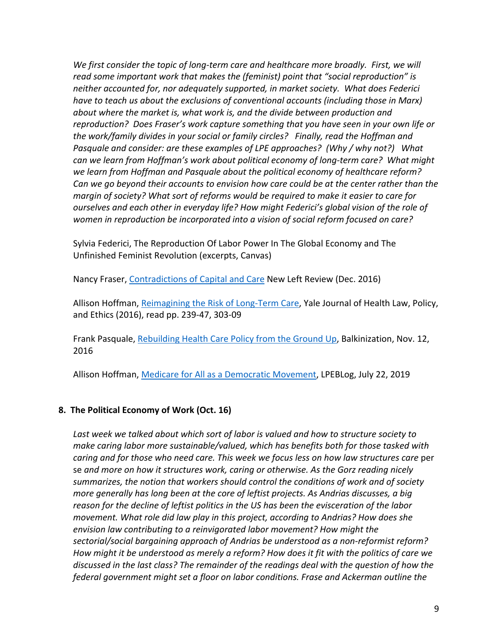*We first consider the topic of long-term care and healthcare more broadly. First, we will read some important work that makes the (feminist) point that "social reproduction" is neither accounted for, nor adequately supported, in market society. What does Federici*  have to teach us about the exclusions of conventional accounts (including those in Marx) *about where the market is, what work is, and the divide between production and reproduction? Does Fraser's work capture something that you have seen in your own life or the work/family divides in your social or family circles? Finally, read the Hoffman and Pasquale and consider: are these examples of LPE approaches? (Why / why not?) What can we learn from Hoffman's work about political economy of long-term care? What might we learn from Hoffman and Pasquale about the political economy of healthcare reform? Can we go beyond their accounts to envision how care could be at the center rather than the margin of society? What sort of reforms would be required to make it easier to care for ourselves and each other in everyday life? How might Federici's global vision of the role of women in reproduction be incorporated into a vision of social reform focused on care?*

Sylvia Federici, The Reproduction Of Labor Power In The Global Economy and The Unfinished Feminist Revolution (excerpts, Canvas)

Nancy Fraser, Contradictions of Capital and Care New Left Review (Dec. 2016)

Allison Hoffman, Reimagining the Risk of Long-Term Care, Yale Journal of Health Law, Policy, and Ethics (2016), read pp. 239-47, 303-09

Frank Pasquale, Rebuilding Health Care Policy from the Ground Up, Balkinization, Nov. 12, 2016

Allison Hoffman, Medicare for All as a Democratic Movement, LPEBLog, July 22, 2019

## **8. The Political Economy of Work (Oct. 16)**

*Last week we talked about which sort of labor is valued and how to structure society to make caring labor more sustainable/valued, which has benefits both for those tasked with caring and for those who need care. This week we focus less on how law structures care* per se *and more on how it structures work, caring or otherwise. As the Gorz reading nicely summarizes, the notion that workers should control the conditions of work and of society more generally has long been at the core of leftist projects. As Andrias discusses, a big reason for the decline of leftist politics in the US has been the evisceration of the labor movement. What role did law play in this project, according to Andrias? How does she envision law contributing to a reinvigorated labor movement? How might the sectorial/social bargaining approach of Andrias be understood as a non-reformist reform? How might it be understood as merely a reform? How does it fit with the politics of care we discussed in the last class? The remainder of the readings deal with the question of how the federal government might set a floor on labor conditions. Frase and Ackerman outline the*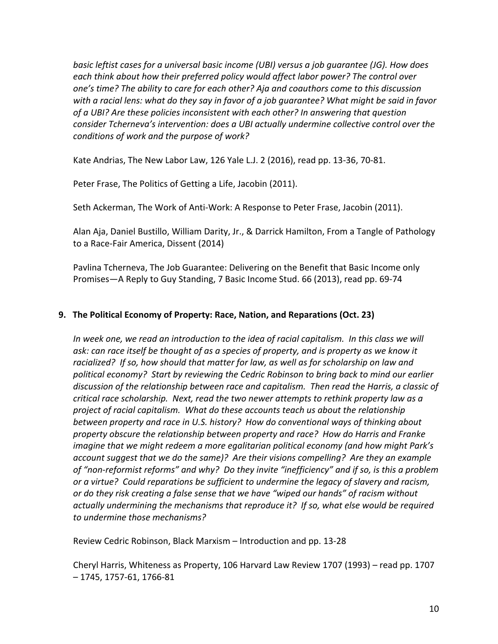*basic leftist cases for a universal basic income (UBI) versus a job guarantee (JG). How does each think about how their preferred policy would affect labor power? The control over one's time? The ability to care for each other? Aja and coauthors come to this discussion with a racial lens: what do they say in favor of a job guarantee? What might be said in favor of a UBI? Are these policies inconsistent with each other? In answering that question consider Tcherneva's intervention: does a UBI actually undermine collective control over the conditions of work and the purpose of work?*

Kate Andrias, The New Labor Law, 126 Yale L.J. 2 (2016), read pp. 13-36, 70-81.

Peter Frase, The Politics of Getting a Life, Jacobin (2011).

Seth Ackerman, The Work of Anti-Work: A Response to Peter Frase, Jacobin (2011).

Alan Aja, Daniel Bustillo, William Darity, Jr., & Darrick Hamilton, From a Tangle of Pathology to a Race-Fair America, Dissent (2014)

Pavlina Tcherneva, The Job Guarantee: Delivering on the Benefit that Basic Income only Promises—A Reply to Guy Standing, 7 Basic Income Stud. 66 (2013), read pp. 69-74

#### **9. The Political Economy of Property: Race, Nation, and Reparations (Oct. 23)**

In week one, we read an introduction to the idea of racial capitalism. In this class we will *ask: can race itself be thought of as a species of property, and is property as we know it racialized? If so, how should that matter for law, as well as for scholarship on law and political economy? Start by reviewing the Cedric Robinson to bring back to mind our earlier discussion of the relationship between race and capitalism. Then read the Harris, a classic of critical race scholarship. Next, read the two newer attempts to rethink property law as a project of racial capitalism. What do these accounts teach us about the relationship between property and race in U.S. history? How do conventional ways of thinking about property obscure the relationship between property and race? How do Harris and Franke imagine that we might redeem a more egalitarian political economy (and how might Park's account suggest that we do the same)? Are their visions compelling? Are they an example of "non-reformist reforms" and why? Do they invite "inefficiency" and if so, is this a problem or a virtue? Could reparations be sufficient to undermine the legacy of slavery and racism, or do they risk creating a false sense that we have "wiped our hands" of racism without actually undermining the mechanisms that reproduce it? If so, what else would be required to undermine those mechanisms?*

Review Cedric Robinson, Black Marxism – Introduction and pp. 13-28

Cheryl Harris, Whiteness as Property, 106 Harvard Law Review 1707 (1993) – read pp. 1707 – 1745, 1757-61, 1766-81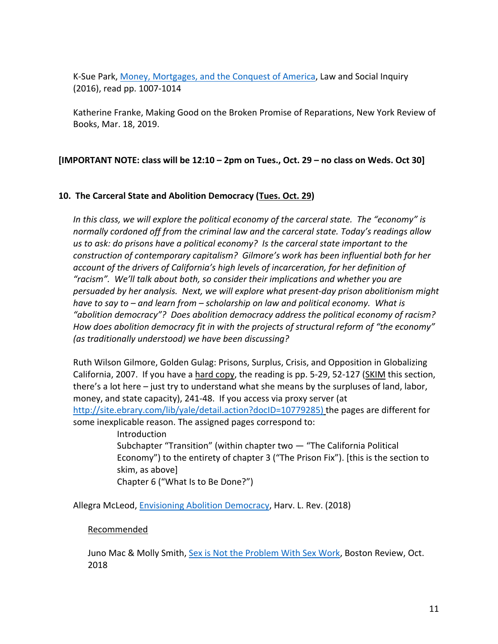K-Sue Park, Money, Mortgages, and the Conquest of America, Law and Social Inquiry (2016), read pp. 1007-1014

Katherine Franke, Making Good on the Broken Promise of Reparations, New York Review of Books, Mar. 18, 2019.

## **[IMPORTANT NOTE: class will be 12:10 – 2pm on Tues., Oct. 29 – no class on Weds. Oct 30]**

#### **10. The Carceral State and Abolition Democracy (Tues. Oct. 29)**

*In this class, we will explore the political economy of the carceral state. The "economy" is normally cordoned off from the criminal law and the carceral state. Today's readings allow us to ask: do prisons have a political economy? Is the carceral state important to the construction of contemporary capitalism? Gilmore's work has been influential both for her account of the drivers of California's high levels of incarceration, for her definition of "racism". We'll talk about both, so consider their implications and whether you are persuaded by her analysis. Next, we will explore what present-day prison abolitionism might have to say to – and learn from – scholarship on law and political economy. What is "abolition democracy"? Does abolition democracy address the political economy of racism? How does abolition democracy fit in with the projects of structural reform of "the economy" (as traditionally understood) we have been discussing?*

Ruth Wilson Gilmore, Golden Gulag: Prisons, Surplus, Crisis, and Opposition in Globalizing California, 2007. If you have a hard copy, the reading is pp. 5-29, 52-127 (SKIM this section, there's a lot here – just try to understand what she means by the surpluses of land, labor, money, and state capacity), 241-48. If you access via proxy server (at http://site.ebrary.com/lib/yale/detail.action?docID=10779285) the pages are different for some inexplicable reason. The assigned pages correspond to:

> Introduction Subchapter "Transition" (within chapter two — "The California Political Economy") to the entirety of chapter 3 ("The Prison Fix"). [this is the section to skim, as above] Chapter 6 ("What Is to Be Done?")

Allegra McLeod, Envisioning Abolition Democracy, Harv. L. Rev. (2018)

#### Recommended

Juno Mac & Molly Smith, Sex is Not the Problem With Sex Work, Boston Review, Oct. 2018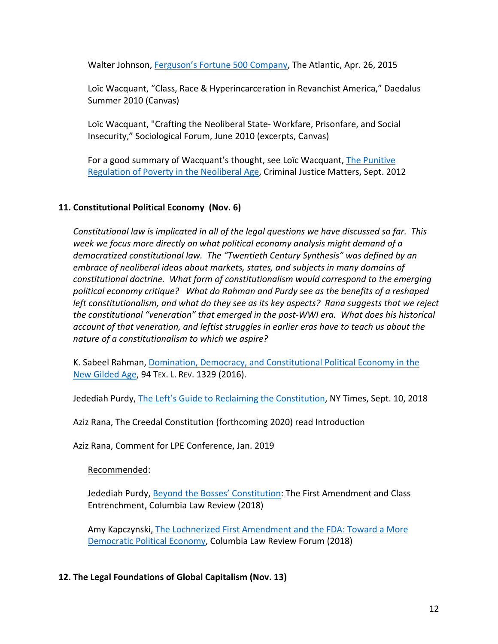Walter Johnson, Ferguson's Fortune 500 Company, The Atlantic, Apr. 26, 2015

Loïc Wacquant, "Class, Race & Hyperincarceration in Revanchist America," Daedalus Summer 2010 (Canvas)

Loïc Wacquant, "Crafting the Neoliberal State- Workfare, Prisonfare, and Social Insecurity," Sociological Forum, June 2010 (excerpts, Canvas)

For a good summary of Wacquant's thought, see Loïc Wacquant, The Punitive Regulation of Poverty in the Neoliberal Age, Criminal Justice Matters, Sept. 2012

## **11. Constitutional Political Economy (Nov. 6)**

*Constitutional law is implicated in all of the legal questions we have discussed so far. This week we focus more directly on what political economy analysis might demand of a democratized constitutional law. The "Twentieth Century Synthesis" was defined by an embrace of neoliberal ideas about markets, states, and subjects in many domains of constitutional doctrine. What form of constitutionalism would correspond to the emerging political economy critique? What do Rahman and Purdy see as the benefits of a reshaped left constitutionalism, and what do they see as its key aspects? Rana suggests that we reject the constitutional "veneration" that emerged in the post-WWI era. What does his historical account of that veneration, and leftist struggles in earlier eras have to teach us about the nature of a constitutionalism to which we aspire?* 

K. Sabeel Rahman, Domination, Democracy, and Constitutional Political Economy in the New Gilded Age, 94 TEX. L. REV. 1329 (2016).

Jedediah Purdy, The Left's Guide to Reclaiming the Constitution, NY Times, Sept. 10, 2018

Aziz Rana, The Creedal Constitution (forthcoming 2020) read Introduction

Aziz Rana, Comment for LPE Conference, Jan. 2019

Recommended:

Jedediah Purdy, Beyond the Bosses' Constitution: The First Amendment and Class Entrenchment, Columbia Law Review (2018)

Amy Kapczynski, The Lochnerized First Amendment and the FDA: Toward a More Democratic Political Economy, Columbia Law Review Forum (2018)

## **12. The Legal Foundations of Global Capitalism (Nov. 13)**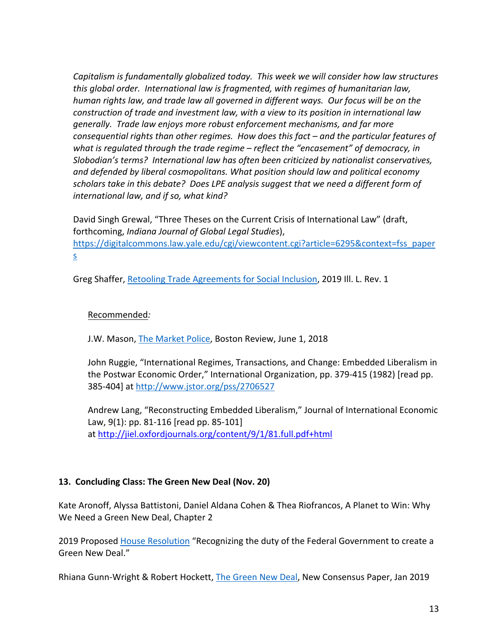*Capitalism is fundamentally globalized today. This week we will consider how law structures this global order. International law is fragmented, with regimes of humanitarian law, human rights law, and trade law all governed in different ways. Our focus will be on the construction of trade and investment law, with a view to its position in international law generally. Trade law enjoys more robust enforcement mechanisms, and far more consequential rights than other regimes. How does this fact – and the particular features of what is regulated through the trade regime – reflect the "encasement" of democracy, in Slobodian's terms? International law has often been criticized by nationalist conservatives, and defended by liberal cosmopolitans. What position should law and political economy scholars take in this debate? Does LPE analysis suggest that we need a different form of international law, and if so, what kind?* 

David Singh Grewal, "Three Theses on the Current Crisis of International Law" (draft, forthcoming, *Indiana Journal of Global Legal Studies*), https://digitalcommons.law.yale.edu/cgi/viewcontent.cgi?article=6295&context=fss\_paper s

Greg Shaffer, Retooling Trade Agreements for Social Inclusion, 2019 Ill. L. Rev. 1

#### Recommended*:*

J.W. Mason, The Market Police, Boston Review, June 1, 2018

John Ruggie, "International Regimes, Transactions, and Change: Embedded Liberalism in the Postwar Economic Order," International Organization, pp. 379-415 (1982) [read pp. 385-404] at http://www.jstor.org/pss/2706527

Andrew Lang, "Reconstructing Embedded Liberalism," Journal of International Economic Law, 9(1): pp. 81-116 [read pp. 85-101] at http://jiel.oxfordjournals.org/content/9/1/81.full.pdf+html

#### **13. Concluding Class: The Green New Deal (Nov. 20)**

Kate Aronoff, Alyssa Battistoni, Daniel Aldana Cohen & Thea Riofrancos, A Planet to Win: Why We Need a Green New Deal, Chapter 2

2019 Proposed House Resolution "Recognizing the duty of the Federal Government to create a Green New Deal."

Rhiana Gunn-Wright & Robert Hockett, The Green New Deal, New Consensus Paper, Jan 2019